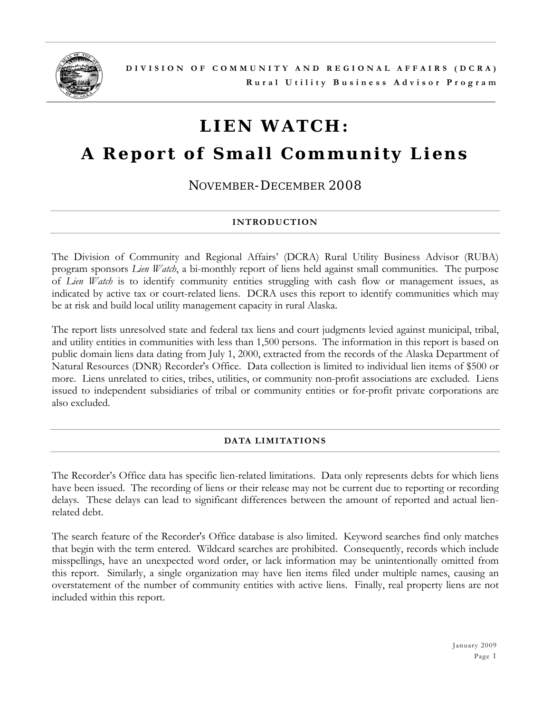

# **LIEN WATCH:**

## **A Report of Small Community Liens**

*NOVEMBER-DECEMBER 2008*

## **INTRODUCTION**

The Division of Community and Regional Affairs' (DCRA) Rural Utility Business Advisor (RUBA) program sponsors *Lien Watch*, a bi-monthly report of liens held against small communities. The purpose of *Lien Watch* is to identify community entities struggling with cash flow or management issues, as indicated by active tax or court-related liens. DCRA uses this report to identify communities which may be at risk and build local utility management capacity in rural Alaska.

The report lists unresolved state and federal tax liens and court judgments levied against municipal, tribal, and utility entities in communities with less than 1,500 persons. The information in this report is based on public domain liens data dating from July 1, 2000, extracted from the records of the Alaska Department of Natural Resources (DNR) Recorder's Office. Data collection is limited to individual lien items of \$500 or more. Liens unrelated to cities, tribes, utilities, or community non-profit associations are excluded. Liens issued to independent subsidiaries of tribal or community entities or for-profit private corporations are also excluded.

### **DATA LIMITATIONS**

The Recorder's Office data has specific lien-related limitations. Data only represents debts for which liens have been issued. The recording of liens or their release may not be current due to reporting or recording delays. These delays can lead to significant differences between the amount of reported and actual lienrelated debt.

The search feature of the Recorder's Office database is also limited. Keyword searches find only matches that begin with the term entered. Wildcard searches are prohibited. Consequently, records which include misspellings, have an unexpected word order, or lack information may be unintentionally omitted from this report. Similarly, a single organization may have lien items filed under multiple names, causing an overstatement of the number of community entities with active liens. Finally, real property liens are not included within this report.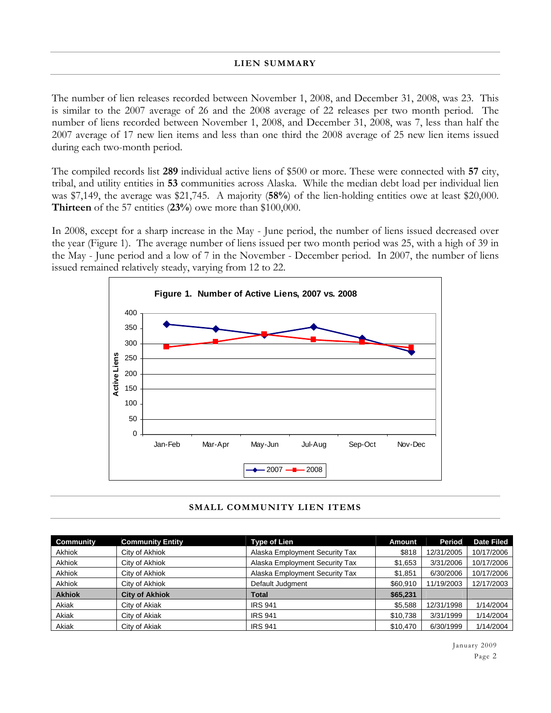The number of lien releases recorded between November 1, 2008, and December 31, 2008, was 23. This is similar to the 2007 average of 26 and the 2008 average of 22 releases per two month period. The number of liens recorded between November 1, 2008, and December 31, 2008, was 7, less than half the 2007 average of 17 new lien items and less than one third the 2008 average of 25 new lien items issued during each two-month period.

The compiled records list **289** individual active liens of \$500 or more. These were connected with **57** city, tribal, and utility entities in **53** communities across Alaska. While the median debt load per individual lien was \$7,149, the average was \$21,745. A majority (**58%**) of the lien-holding entities owe at least \$20,000. **Thirteen** of the 57 entities (**23%**) owe more than \$100,000.

In 2008, except for a sharp increase in the May - June period, the number of liens issued decreased over the year (Figure 1). The average number of liens issued per two month period was 25, with a high of 39 in the May - June period and a low of 7 in the November - December period. In 2007, the number of liens issued remained relatively steady, varying from 12 to 22.



#### **SMALL COMMUNITY LIEN ITEMS**

| Community     | <b>Community Entity</b> | <b>Type of Lien</b>            | <b>Amount</b> | Period     | <b>Date Filed</b> |
|---------------|-------------------------|--------------------------------|---------------|------------|-------------------|
| Akhiok        | City of Akhiok          | Alaska Employment Security Tax | \$818         | 12/31/2005 | 10/17/2006        |
| <b>Akhiok</b> | City of Akhiok          | Alaska Employment Security Tax | \$1,653       | 3/31/2006  | 10/17/2006        |
| <b>Akhiok</b> | City of Akhiok          | Alaska Employment Security Tax | \$1,851       | 6/30/2006  | 10/17/2006        |
| <b>Akhiok</b> | City of Akhiok          | Default Judgment               | \$60,910      | 11/19/2003 | 12/17/2003        |
| <b>Akhiok</b> | <b>City of Akhiok</b>   | Total                          | \$65,231      |            |                   |
| Akiak         | City of Akiak           | <b>IRS 941</b>                 | \$5.588       | 12/31/1998 | 1/14/2004         |
| Akiak         | City of Akiak           | <b>IRS 941</b>                 | \$10,738      | 3/31/1999  | 1/14/2004         |
| Akiak         | City of Akiak           | <b>IRS 941</b>                 | \$10,470      | 6/30/1999  | 1/14/2004         |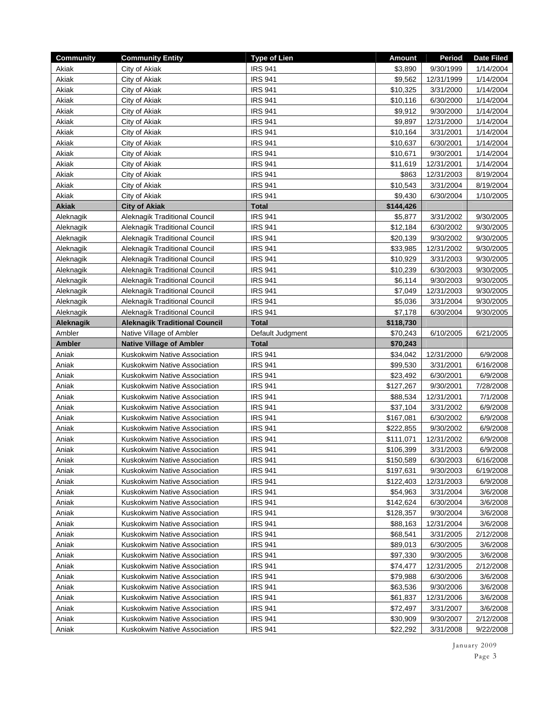| <b>Community</b> | <b>Community Entity</b>              | <b>Type of Lien</b> | Amount    | Period     | <b>Date Filed</b> |
|------------------|--------------------------------------|---------------------|-----------|------------|-------------------|
| Akiak            | City of Akiak                        | <b>IRS 941</b>      | \$3,890   | 9/30/1999  | 1/14/2004         |
| Akiak            | City of Akiak                        | <b>IRS 941</b>      | \$9,562   | 12/31/1999 | 1/14/2004         |
| Akiak            | City of Akiak                        | <b>IRS 941</b>      | \$10,325  | 3/31/2000  | 1/14/2004         |
| Akiak            | City of Akiak                        | <b>IRS 941</b>      | \$10,116  | 6/30/2000  | 1/14/2004         |
| Akiak            | City of Akiak                        | <b>IRS 941</b>      | \$9,912   | 9/30/2000  | 1/14/2004         |
| Akiak            | City of Akiak                        | <b>IRS 941</b>      | \$9,897   | 12/31/2000 | 1/14/2004         |
| Akiak            | City of Akiak                        | <b>IRS 941</b>      | \$10,164  | 3/31/2001  | 1/14/2004         |
| Akiak            | City of Akiak                        | <b>IRS 941</b>      | \$10,637  | 6/30/2001  | 1/14/2004         |
| Akiak            | City of Akiak                        | <b>IRS 941</b>      | \$10,671  | 9/30/2001  | 1/14/2004         |
| Akiak            | City of Akiak                        | <b>IRS 941</b>      | \$11,619  | 12/31/2001 | 1/14/2004         |
| Akiak            | City of Akiak                        | <b>IRS 941</b>      | \$863     | 12/31/2003 | 8/19/2004         |
| Akiak            | City of Akiak                        | <b>IRS 941</b>      | \$10,543  | 3/31/2004  | 8/19/2004         |
| Akiak            | City of Akiak                        | <b>IRS 941</b>      | \$9,430   | 6/30/2004  | 1/10/2005         |
| <b>Akiak</b>     | <b>City of Akiak</b>                 | <b>Total</b>        | \$144,426 |            |                   |
| Aleknagik        | Aleknagik Traditional Council        | <b>IRS 941</b>      | \$5,877   | 3/31/2002  | 9/30/2005         |
| Aleknagik        | Aleknagik Traditional Council        | <b>IRS 941</b>      | \$12,184  | 6/30/2002  | 9/30/2005         |
| Aleknagik        | Aleknagik Traditional Council        | <b>IRS 941</b>      | \$20,139  | 9/30/2002  | 9/30/2005         |
| Aleknagik        | Aleknagik Traditional Council        | <b>IRS 941</b>      | \$33,985  | 12/31/2002 | 9/30/2005         |
| Aleknagik        | Aleknagik Traditional Council        | <b>IRS 941</b>      | \$10,929  | 3/31/2003  | 9/30/2005         |
| Aleknagik        | Aleknagik Traditional Council        | <b>IRS 941</b>      | \$10,239  | 6/30/2003  | 9/30/2005         |
| Aleknagik        | Aleknagik Traditional Council        | <b>IRS 941</b>      | \$6,114   | 9/30/2003  | 9/30/2005         |
| Aleknagik        | Aleknagik Traditional Council        | <b>IRS 941</b>      | \$7,049   | 12/31/2003 | 9/30/2005         |
| Aleknagik        | Aleknagik Traditional Council        | <b>IRS 941</b>      | \$5,036   | 3/31/2004  | 9/30/2005         |
| Aleknagik        | Aleknagik Traditional Council        | <b>IRS 941</b>      | \$7,178   | 6/30/2004  | 9/30/2005         |
| Aleknagik        | <b>Aleknagik Traditional Council</b> | <b>Total</b>        | \$118,730 |            |                   |
| Ambler           | Native Village of Ambler             | Default Judgment    | \$70,243  | 6/10/2005  | 6/21/2005         |
| <b>Ambler</b>    | <b>Native Village of Ambler</b>      | <b>Total</b>        | \$70,243  |            |                   |
| Aniak            | Kuskokwim Native Association         | <b>IRS 941</b>      | \$34,042  | 12/31/2000 | 6/9/2008          |
| Aniak            | Kuskokwim Native Association         | <b>IRS 941</b>      | \$99,530  | 3/31/2001  | 6/16/2008         |
| Aniak            | Kuskokwim Native Association         | <b>IRS 941</b>      | \$23,492  | 6/30/2001  | 6/9/2008          |
| Aniak            | Kuskokwim Native Association         | <b>IRS 941</b>      | \$127,267 | 9/30/2001  | 7/28/2008         |
| Aniak            | Kuskokwim Native Association         | <b>IRS 941</b>      | \$88,534  | 12/31/2001 | 7/1/2008          |
| Aniak            | Kuskokwim Native Association         | <b>IRS 941</b>      | \$37,104  | 3/31/2002  | 6/9/2008          |
| Aniak            | Kuskokwim Native Association         | <b>IRS 941</b>      | \$167,081 | 6/30/2002  | 6/9/2008          |
| Aniak            | Kuskokwim Native Association         | <b>IRS 941</b>      | \$222,855 | 9/30/2002  | 6/9/2008          |
| Aniak            | Kuskokwim Native Association         | <b>IRS 941</b>      | \$111,071 | 12/31/2002 | 6/9/2008          |
| Aniak            | Kuskokwim Native Association         | <b>IRS 941</b>      | \$106,399 | 3/31/2003  | 6/9/2008          |
| Aniak            | Kuskokwim Native Association         | <b>IRS 941</b>      | \$150,589 | 6/30/2003  | 6/16/2008         |
| Aniak            | Kuskokwim Native Association         | <b>IRS 941</b>      | \$197,631 | 9/30/2003  | 6/19/2008         |
| Aniak            | Kuskokwim Native Association         | <b>IRS 941</b>      | \$122,403 | 12/31/2003 | 6/9/2008          |
| Aniak            | Kuskokwim Native Association         | <b>IRS 941</b>      | \$54,963  | 3/31/2004  | 3/6/2008          |
| Aniak            | Kuskokwim Native Association         | <b>IRS 941</b>      | \$142,624 | 6/30/2004  | 3/6/2008          |
| Aniak            | Kuskokwim Native Association         | <b>IRS 941</b>      | \$128,357 | 9/30/2004  | 3/6/2008          |
| Aniak            | Kuskokwim Native Association         | <b>IRS 941</b>      | \$88,163  | 12/31/2004 | 3/6/2008          |
| Aniak            | Kuskokwim Native Association         | <b>IRS 941</b>      | \$68,541  | 3/31/2005  | 2/12/2008         |
| Aniak            | Kuskokwim Native Association         | <b>IRS 941</b>      | \$89,013  | 6/30/2005  | 3/6/2008          |
| Aniak            | Kuskokwim Native Association         | <b>IRS 941</b>      | \$97,330  | 9/30/2005  | 3/6/2008          |
| Aniak            | Kuskokwim Native Association         | <b>IRS 941</b>      | \$74,477  | 12/31/2005 | 2/12/2008         |
| Aniak            | Kuskokwim Native Association         | <b>IRS 941</b>      | \$79,988  | 6/30/2006  | 3/6/2008          |
| Aniak            | Kuskokwim Native Association         | <b>IRS 941</b>      | \$63,536  | 9/30/2006  | 3/6/2008          |
| Aniak            | Kuskokwim Native Association         | <b>IRS 941</b>      | \$61,837  | 12/31/2006 | 3/6/2008          |
| Aniak            | Kuskokwim Native Association         | <b>IRS 941</b>      | \$72,497  | 3/31/2007  | 3/6/2008          |
| Aniak            | Kuskokwim Native Association         | <b>IRS 941</b>      | \$30,909  | 9/30/2007  | 2/12/2008         |
| Aniak            | Kuskokwim Native Association         | <b>IRS 941</b>      | \$22,292  | 3/31/2008  | 9/22/2008         |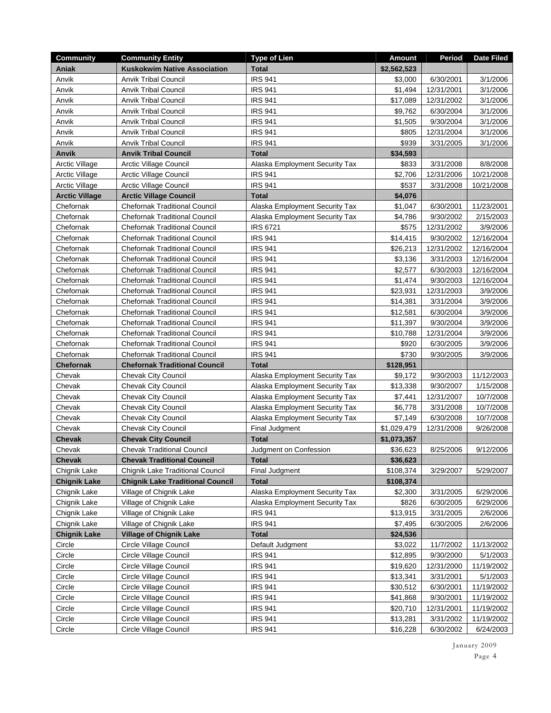| \$2,562,523<br>Aniak<br><b>Kuskokwim Native Association</b><br><b>Total</b><br><b>IRS 941</b><br>Anvik<br><b>Anvik Tribal Council</b><br>\$3,000<br>6/30/2001<br><b>IRS 941</b><br>Anvik<br><b>Anvik Tribal Council</b><br>\$1,494<br>12/31/2001 | 3/1/2006<br>3/1/2006 |
|--------------------------------------------------------------------------------------------------------------------------------------------------------------------------------------------------------------------------------------------------|----------------------|
|                                                                                                                                                                                                                                                  |                      |
|                                                                                                                                                                                                                                                  |                      |
|                                                                                                                                                                                                                                                  |                      |
| <b>IRS 941</b><br>\$17,089<br>Anvik<br><b>Anvik Tribal Council</b><br>12/31/2002                                                                                                                                                                 | 3/1/2006             |
| <b>IRS 941</b><br>\$9,762<br>Anvik<br><b>Anvik Tribal Council</b><br>6/30/2004                                                                                                                                                                   | 3/1/2006             |
| <b>IRS 941</b><br>\$1,505<br>9/30/2004<br>Anvik<br><b>Anvik Tribal Council</b>                                                                                                                                                                   | 3/1/2006             |
| <b>IRS 941</b><br>\$805<br>Anvik<br><b>Anvik Tribal Council</b><br>12/31/2004                                                                                                                                                                    | 3/1/2006             |
| <b>IRS 941</b><br>\$939<br><b>Anvik Tribal Council</b><br>Anvik<br>3/31/2005                                                                                                                                                                     | 3/1/2006             |
| <b>Anvik</b><br><b>Anvik Tribal Council</b><br><b>Total</b><br>\$34,593                                                                                                                                                                          |                      |
| <b>Arctic Village Council</b><br>\$833<br>3/31/2008<br><b>Arctic Village</b><br>Alaska Employment Security Tax                                                                                                                                   | 8/8/2008             |
| <b>Arctic Village</b><br>Arctic Village Council<br><b>IRS 941</b><br>\$2,706<br>12/31/2006                                                                                                                                                       | 10/21/2008           |
| <b>IRS 941</b><br>Arctic Village Council<br>\$537<br>3/31/2008<br>Arctic Village                                                                                                                                                                 | 10/21/2008           |
| <b>Arctic Village Council</b><br><b>Total</b><br>\$4,076<br><b>Arctic Village</b>                                                                                                                                                                |                      |
| Chefornak<br><b>Chefornak Traditional Council</b><br>6/30/2001<br>Alaska Employment Security Tax<br>\$1,047                                                                                                                                      | 11/23/2001           |
| Chefornak<br><b>Chefornak Traditional Council</b><br>\$4,786<br>9/30/2002<br>Alaska Employment Security Tax                                                                                                                                      | 2/15/2003            |
| Chefornak<br><b>Chefornak Traditional Council</b><br><b>IRS 6721</b><br>\$575<br>12/31/2002                                                                                                                                                      | 3/9/2006             |
| <b>Chefornak Traditional Council</b><br><b>IRS 941</b><br>\$14,415<br>Chefornak<br>9/30/2002                                                                                                                                                     | 12/16/2004           |
| <b>Chefornak Traditional Council</b><br><b>IRS 941</b><br>\$26,213<br>Chefornak<br>12/31/2002                                                                                                                                                    | 12/16/2004           |
| Chefornak<br><b>Chefornak Traditional Council</b><br><b>IRS 941</b><br>\$3,136<br>3/31/2003                                                                                                                                                      | 12/16/2004           |
| <b>IRS 941</b><br>\$2,577<br>Chefornak<br><b>Chefornak Traditional Council</b><br>6/30/2003                                                                                                                                                      | 12/16/2004           |
| <b>IRS 941</b><br>\$1,474<br>9/30/2003<br>Chefornak<br><b>Chefornak Traditional Council</b>                                                                                                                                                      | 12/16/2004           |
| Chefornak<br><b>IRS 941</b><br>\$23,931<br>12/31/2003<br><b>Chefornak Traditional Council</b>                                                                                                                                                    | 3/9/2006             |
| <b>IRS 941</b><br>\$14,381<br>3/31/2004<br>Chefornak<br><b>Chefornak Traditional Council</b>                                                                                                                                                     | 3/9/2006             |
| <b>IRS 941</b><br><b>Chefornak Traditional Council</b><br>\$12,581<br>6/30/2004<br>Chefornak                                                                                                                                                     | 3/9/2006             |
| Chefornak<br><b>Chefornak Traditional Council</b><br><b>IRS 941</b><br>\$11,397<br>9/30/2004                                                                                                                                                     | 3/9/2006             |
| <b>IRS 941</b><br>\$10,788<br>12/31/2004<br>Chefornak<br><b>Chefornak Traditional Council</b>                                                                                                                                                    | 3/9/2006             |
| <b>IRS 941</b><br>\$920<br>6/30/2005<br>Chefornak<br><b>Chefornak Traditional Council</b>                                                                                                                                                        | 3/9/2006             |
| <b>Chefornak Traditional Council</b><br><b>IRS 941</b><br>\$730<br>Chefornak<br>9/30/2005                                                                                                                                                        | 3/9/2006             |
| <b>Total</b><br>\$128,951<br><b>Chefornak</b><br><b>Chefornak Traditional Council</b>                                                                                                                                                            |                      |
| Chevak City Council<br>Chevak<br>Alaska Employment Security Tax<br>\$9,172<br>9/30/2003                                                                                                                                                          | 11/12/2003           |
| Chevak<br><b>Chevak City Council</b><br>\$13,338<br>9/30/2007<br>Alaska Employment Security Tax                                                                                                                                                  | 1/15/2008            |
| <b>Chevak City Council</b><br>Alaska Employment Security Tax<br>\$7,441<br>12/31/2007<br>Chevak                                                                                                                                                  | 10/7/2008            |
| Chevak<br><b>Chevak City Council</b><br>Alaska Employment Security Tax<br>\$6,778<br>3/31/2008                                                                                                                                                   | 10/7/2008            |
| Chevak<br><b>Chevak City Council</b><br>Alaska Employment Security Tax<br>\$7,149<br>6/30/2008                                                                                                                                                   | 10/7/2008            |
| Chevak<br><b>Chevak City Council</b><br>Final Judgment<br>\$1,029,479<br>12/31/2008                                                                                                                                                              | 9/26/2008            |
| <b>Chevak</b><br><b>Chevak City Council</b><br><b>Total</b><br>\$1,073,357                                                                                                                                                                       |                      |
| Chevak<br><b>Chevak Traditional Council</b><br>Judgment on Confession<br>\$36,623<br>8/25/2006                                                                                                                                                   | 9/12/2006            |
| <b>Chevak</b><br><b>Chevak Traditional Council</b><br>\$36,623<br>Total                                                                                                                                                                          |                      |
| Chignik Lake Traditional Council<br>\$108,374<br>3/29/2007<br>Chignik Lake<br>Final Judgment                                                                                                                                                     | 5/29/2007            |
| <b>Chignik Lake</b><br><b>Chignik Lake Traditional Council</b><br><b>Total</b><br>\$108,374                                                                                                                                                      |                      |
| Chignik Lake<br>Village of Chignik Lake<br>Alaska Employment Security Tax<br>\$2,300<br>3/31/2005                                                                                                                                                | 6/29/2006            |
| Chignik Lake<br>Village of Chignik Lake<br>Alaska Employment Security Tax<br>\$826<br>6/30/2005                                                                                                                                                  | 6/29/2006            |
| Chignik Lake<br>Village of Chignik Lake<br><b>IRS 941</b><br>\$13,915<br>3/31/2005                                                                                                                                                               | 2/6/2006             |
| <b>IRS 941</b><br>Chignik Lake<br>Village of Chignik Lake<br>\$7,495<br>6/30/2005                                                                                                                                                                | 2/6/2006             |
| <b>Village of Chignik Lake</b><br><b>Chignik Lake</b><br><b>Total</b><br>\$24,536                                                                                                                                                                |                      |
| Circle<br>Circle Village Council<br>Default Judgment<br>\$3,022<br>11/7/2002                                                                                                                                                                     | 11/13/2002           |
| Circle<br>Circle Village Council<br><b>IRS 941</b><br>\$12,895<br>9/30/2000                                                                                                                                                                      | 5/1/2003             |
| Circle Village Council<br><b>IRS 941</b><br>\$19,620<br>12/31/2000<br>Circle                                                                                                                                                                     | 11/19/2002           |
| Circle Village Council<br><b>IRS 941</b><br>\$13,341<br>Circle<br>3/31/2001                                                                                                                                                                      | 5/1/2003             |
| Circle Village Council<br><b>IRS 941</b><br>\$30,512<br>6/30/2001<br>Circle                                                                                                                                                                      | 11/19/2002           |
| Circle Village Council<br><b>IRS 941</b><br>\$41,868<br>9/30/2001<br>Circle                                                                                                                                                                      | 11/19/2002           |
| Circle Village Council<br><b>IRS 941</b><br>\$20,710<br>Circle<br>12/31/2001                                                                                                                                                                     | 11/19/2002           |
| Circle Village Council<br><b>IRS 941</b><br>\$13,281<br>Circle<br>3/31/2002                                                                                                                                                                      | 11/19/2002           |
| Circle Village Council<br><b>IRS 941</b><br>\$16,228<br>Circle<br>6/30/2002                                                                                                                                                                      | 6/24/2003            |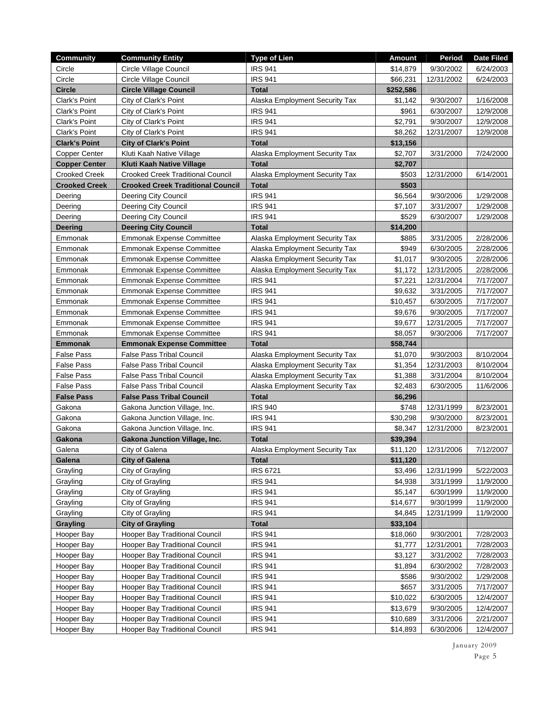| <b>Community</b>     | <b>Community Entity</b>                  | <b>Type of Lien</b>            | <b>Amount</b> | Period     | <b>Date Filed</b> |
|----------------------|------------------------------------------|--------------------------------|---------------|------------|-------------------|
| Circle               | Circle Village Council                   | <b>IRS 941</b>                 | \$14,879      | 9/30/2002  | 6/24/2003         |
| Circle               | Circle Village Council                   | <b>IRS 941</b>                 | \$66,231      | 12/31/2002 | 6/24/2003         |
| <b>Circle</b>        | <b>Circle Village Council</b>            | <b>Total</b>                   | \$252,586     |            |                   |
| Clark's Point        | City of Clark's Point                    | Alaska Employment Security Tax | \$1,142       | 9/30/2007  | 1/16/2008         |
| Clark's Point        | City of Clark's Point                    | <b>IRS 941</b>                 | \$961         | 6/30/2007  | 12/9/2008         |
| Clark's Point        | City of Clark's Point                    | <b>IRS 941</b>                 | \$2,791       | 9/30/2007  | 12/9/2008         |
| Clark's Point        | City of Clark's Point                    | <b>IRS 941</b>                 | \$8,262       | 12/31/2007 | 12/9/2008         |
| <b>Clark's Point</b> | <b>City of Clark's Point</b>             | <b>Total</b>                   | \$13,156      |            |                   |
| <b>Copper Center</b> | Kluti Kaah Native Village                | Alaska Employment Security Tax | \$2,707       | 3/31/2000  | 7/24/2000         |
| <b>Copper Center</b> | Kluti Kaah Native Village                | <b>Total</b>                   | \$2,707       |            |                   |
| <b>Crooked Creek</b> | <b>Crooked Creek Traditional Council</b> | Alaska Employment Security Tax | \$503         | 12/31/2000 | 6/14/2001         |
| <b>Crooked Creek</b> | <b>Crooked Creek Traditional Council</b> | <b>Total</b>                   | \$503         |            |                   |
| Deering              | <b>Deering City Council</b>              | <b>IRS 941</b>                 | \$6,564       | 9/30/2006  | 1/29/2008         |
| Deering              | <b>Deering City Council</b>              | <b>IRS 941</b>                 | \$7,107       | 3/31/2007  | 1/29/2008         |
| Deering              | Deering City Council                     | <b>IRS 941</b>                 | \$529         | 6/30/2007  | 1/29/2008         |
| <b>Deering</b>       | <b>Deering City Council</b>              | <b>Total</b>                   | \$14,200      |            |                   |
| Emmonak              | <b>Emmonak Expense Committee</b>         | Alaska Employment Security Tax | \$885         | 3/31/2005  | 2/28/2006         |
| Emmonak              | <b>Emmonak Expense Committee</b>         | Alaska Employment Security Tax | \$949         | 6/30/2005  | 2/28/2006         |
| Emmonak              | <b>Emmonak Expense Committee</b>         | Alaska Employment Security Tax | \$1,017       | 9/30/2005  | 2/28/2006         |
| Emmonak              | <b>Emmonak Expense Committee</b>         | Alaska Employment Security Tax | \$1,172       | 12/31/2005 | 2/28/2006         |
| Emmonak              | <b>Emmonak Expense Committee</b>         | <b>IRS 941</b>                 | \$7,221       | 12/31/2004 | 7/17/2007         |
| Emmonak              | <b>Emmonak Expense Committee</b>         | <b>IRS 941</b>                 | \$9,632       | 3/31/2005  | 7/17/2007         |
| Emmonak              | <b>Emmonak Expense Committee</b>         | <b>IRS 941</b>                 | \$10,457      | 6/30/2005  | 7/17/2007         |
| Emmonak              | <b>Emmonak Expense Committee</b>         | <b>IRS 941</b>                 | \$9,676       | 9/30/2005  | 7/17/2007         |
| Emmonak              | <b>Emmonak Expense Committee</b>         | <b>IRS 941</b>                 | \$9,677       | 12/31/2005 | 7/17/2007         |
| Emmonak              | <b>Emmonak Expense Committee</b>         | <b>IRS 941</b>                 | \$8,057       | 9/30/2006  | 7/17/2007         |
| <b>Emmonak</b>       | <b>Emmonak Expense Committee</b>         | Total                          | \$58,744      |            |                   |
| <b>False Pass</b>    | <b>False Pass Tribal Council</b>         | Alaska Employment Security Tax | \$1,070       | 9/30/2003  | 8/10/2004         |
| <b>False Pass</b>    | <b>False Pass Tribal Council</b>         | Alaska Employment Security Tax | \$1,354       | 12/31/2003 | 8/10/2004         |
| <b>False Pass</b>    | <b>False Pass Tribal Council</b>         | Alaska Employment Security Tax | \$1,388       | 3/31/2004  | 8/10/2004         |
| <b>False Pass</b>    | <b>False Pass Tribal Council</b>         | Alaska Employment Security Tax | \$2,483       | 6/30/2005  | 11/6/2006         |
| <b>False Pass</b>    | <b>False Pass Tribal Council</b>         | <b>Total</b>                   | \$6,296       |            |                   |
| Gakona               | Gakona Junction Village, Inc.            | <b>IRS 940</b>                 | \$748         | 12/31/1999 | 8/23/2001         |
| Gakona               | Gakona Junction Village, Inc.            | <b>IRS 941</b>                 | \$30,298      | 9/30/2000  | 8/23/2001         |
| Gakona               | Gakona Junction Village, Inc.            | <b>IRS 941</b>                 | \$8,347       | 12/31/2000 | 8/23/2001         |
| Gakona               | Gakona Junction Village, Inc.            | <b>Total</b>                   | \$39,394      |            |                   |
| Galena               | City of Galena                           | Alaska Employment Security Tax | \$11,120      | 12/31/2006 | 7/12/2007         |
| Galena               | <b>City of Galena</b>                    | Total                          | \$11,120      |            |                   |
| Grayling             | City of Grayling                         | <b>IRS 6721</b>                | \$3,496       | 12/31/1999 | 5/22/2003         |
| Grayling             | City of Grayling                         | <b>IRS 941</b>                 | \$4,938       | 3/31/1999  | 11/9/2000         |
| Grayling             | City of Grayling                         | <b>IRS 941</b>                 | \$5,147       | 6/30/1999  | 11/9/2000         |
| Grayling             | City of Grayling                         | <b>IRS 941</b>                 | \$14,677      | 9/30/1999  | 11/9/2000         |
| Grayling             | City of Grayling                         | <b>IRS 941</b>                 | \$4,845       | 12/31/1999 | 11/9/2000         |
| <b>Grayling</b>      | <b>City of Grayling</b>                  | <b>Total</b>                   | \$33,104      |            |                   |
| Hooper Bay           | <b>Hooper Bay Traditional Council</b>    | <b>IRS 941</b>                 | \$18,060      | 9/30/2001  | 7/28/2003         |
| Hooper Bay           | Hooper Bay Traditional Council           | <b>IRS 941</b>                 | \$1,777       | 12/31/2001 | 7/28/2003         |
| Hooper Bay           | Hooper Bay Traditional Council           | <b>IRS 941</b>                 | \$3,127       | 3/31/2002  | 7/28/2003         |
| Hooper Bay           | Hooper Bay Traditional Council           | <b>IRS 941</b>                 | \$1,894       | 6/30/2002  | 7/28/2003         |
| Hooper Bay           | Hooper Bay Traditional Council           | <b>IRS 941</b>                 | \$586         | 9/30/2002  | 1/29/2008         |
| Hooper Bay           | Hooper Bay Traditional Council           | <b>IRS 941</b>                 | \$657         | 3/31/2005  | 7/17/2007         |
| Hooper Bay           | Hooper Bay Traditional Council           | <b>IRS 941</b>                 | \$10,022      | 6/30/2005  | 12/4/2007         |
| Hooper Bay           | Hooper Bay Traditional Council           | <b>IRS 941</b>                 | \$13,679      | 9/30/2005  | 12/4/2007         |
| Hooper Bay           | Hooper Bay Traditional Council           | <b>IRS 941</b>                 | \$10,689      | 3/31/2006  | 2/21/2007         |
| Hooper Bay           | Hooper Bay Traditional Council           | <b>IRS 941</b>                 | \$14,893      | 6/30/2006  | 12/4/2007         |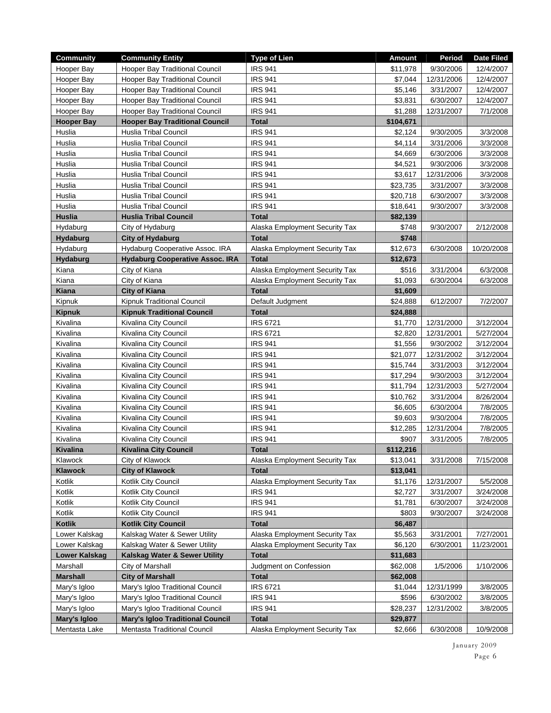| <b>Community</b>        | <b>Community Entity</b>                                         | <b>Type of Lien</b>              | <b>Amount</b>        | Period                   | <b>Date Filed</b> |
|-------------------------|-----------------------------------------------------------------|----------------------------------|----------------------|--------------------------|-------------------|
| Hooper Bay              | <b>Hooper Bay Traditional Council</b>                           | <b>IRS 941</b>                   | \$11,978             | 9/30/2006                | 12/4/2007         |
| Hooper Bay              | Hooper Bay Traditional Council                                  | <b>IRS 941</b>                   | \$7,044              | 12/31/2006               | 12/4/2007         |
| Hooper Bay              | Hooper Bay Traditional Council                                  | <b>IRS 941</b>                   | \$5,146              | 3/31/2007                | 12/4/2007         |
| Hooper Bay              | Hooper Bay Traditional Council                                  | <b>IRS 941</b>                   | \$3,831              | 6/30/2007                | 12/4/2007         |
| Hooper Bay              | Hooper Bay Traditional Council                                  | <b>IRS 941</b>                   | \$1,288              | 12/31/2007               | 7/1/2008          |
| <b>Hooper Bay</b>       | <b>Hooper Bay Traditional Council</b>                           | <b>Total</b>                     | \$104,671            |                          |                   |
| Huslia                  | <b>Huslia Tribal Council</b>                                    | <b>IRS 941</b>                   | \$2,124              | 9/30/2005                | 3/3/2008          |
| Huslia                  | <b>Huslia Tribal Council</b>                                    | <b>IRS 941</b>                   | \$4,114              | 3/31/2006                | 3/3/2008          |
| Huslia                  | Huslia Tribal Council                                           | <b>IRS 941</b>                   | \$4,669              | 6/30/2006                | 3/3/2008          |
| Huslia                  | Huslia Tribal Council                                           | <b>IRS 941</b>                   | \$4,521              | 9/30/2006                | 3/3/2008          |
| Huslia                  | <b>Huslia Tribal Council</b>                                    | <b>IRS 941</b>                   | \$3,617              | 12/31/2006               | 3/3/2008          |
| Huslia                  | Huslia Tribal Council                                           | <b>IRS 941</b>                   | \$23,735             | 3/31/2007                | 3/3/2008          |
| Huslia                  | Huslia Tribal Council                                           | <b>IRS 941</b>                   | \$20,718             | 6/30/2007                | 3/3/2008          |
| Huslia                  | <b>Huslia Tribal Council</b>                                    | <b>IRS 941</b>                   | \$18,641             | 9/30/2007                | 3/3/2008          |
| <b>Huslia</b>           | <b>Huslia Tribal Council</b>                                    | <b>Total</b>                     | \$82,139             |                          |                   |
| Hydaburg                | City of Hydaburg                                                | Alaska Employment Security Tax   | \$748                | 9/30/2007                | 2/12/2008         |
| <b>Hydaburg</b>         | City of Hydaburg                                                | <b>Total</b>                     | \$748                |                          |                   |
| Hydaburg                | Hydaburg Cooperative Assoc. IRA                                 | Alaska Employment Security Tax   | \$12,673             | 6/30/2008                | 10/20/2008        |
| <b>Hydaburg</b>         | <b>Hydaburg Cooperative Assoc. IRA</b>                          | <b>Total</b>                     | \$12,673             |                          |                   |
| Kiana                   | City of Kiana                                                   | Alaska Employment Security Tax   | \$516                | 3/31/2004                | 6/3/2008          |
| Kiana                   | City of Kiana                                                   | Alaska Employment Security Tax   | \$1,093              | 6/30/2004                | 6/3/2008          |
| <b>Kiana</b>            | <b>City of Kiana</b>                                            | <b>Total</b>                     | \$1,609              |                          |                   |
| Kipnuk<br><b>Kipnuk</b> | Kipnuk Traditional Council<br><b>Kipnuk Traditional Council</b> | Default Judgment<br><b>Total</b> | \$24,888<br>\$24,888 | 6/12/2007                | 7/2/2007          |
| Kivalina                | Kivalina City Council                                           | <b>IRS 6721</b>                  | \$1,770              |                          | 3/12/2004         |
| Kivalina                | Kivalina City Council                                           | <b>IRS 6721</b>                  | \$2,820              | 12/31/2000<br>12/31/2001 | 5/27/2004         |
| Kivalina                | Kivalina City Council                                           | <b>IRS 941</b>                   | \$1,556              | 9/30/2002                | 3/12/2004         |
| Kivalina                | Kivalina City Council                                           | <b>IRS 941</b>                   | \$21,077             | 12/31/2002               | 3/12/2004         |
| Kivalina                | Kivalina City Council                                           | <b>IRS 941</b>                   | \$15,744             | 3/31/2003                | 3/12/2004         |
| Kivalina                | Kivalina City Council                                           | <b>IRS 941</b>                   | \$17,294             | 9/30/2003                | 3/12/2004         |
| Kivalina                | Kivalina City Council                                           | <b>IRS 941</b>                   | \$11,794             | 12/31/2003               | 5/27/2004         |
| Kivalina                | Kivalina City Council                                           | <b>IRS 941</b>                   | \$10,762             | 3/31/2004                | 8/26/2004         |
| Kivalina                | Kivalina City Council                                           | <b>IRS 941</b>                   | \$6,605              | 6/30/2004                | 7/8/2005          |
| Kivalina                | Kivalina City Council                                           | <b>IRS 941</b>                   | \$9,603              | 9/30/2004                | 7/8/2005          |
| Kivalina                | Kivalina City Council                                           | <b>IRS 941</b>                   | \$12,285             | 12/31/2004               | 7/8/2005          |
| Kivalina                | Kivalina City Council                                           | <b>IRS 941</b>                   | \$907                | 3/31/2005                | 7/8/2005          |
| <b>Kivalina</b>         | <b>Kivalina City Council</b>                                    | <b>Total</b>                     | \$112,216            |                          |                   |
| Klawock                 | City of Klawock                                                 | Alaska Employment Security Tax   | \$13,041             | 3/31/2008                | 7/15/2008         |
| Klawock                 | <b>City of Klawock</b>                                          | <b>Total</b>                     | \$13,041             |                          |                   |
| Kotlik                  | Kotlik City Council                                             | Alaska Employment Security Tax   | \$1,176              | 12/31/2007               | 5/5/2008          |
| Kotlik                  | Kotlik City Council                                             | <b>IRS 941</b>                   | \$2,727              | 3/31/2007                | 3/24/2008         |
| Kotlik                  | Kotlik City Council                                             | <b>IRS 941</b>                   | \$1,781              | 6/30/2007                | 3/24/2008         |
| Kotlik                  | Kotlik City Council                                             | <b>IRS 941</b>                   | \$803                | 9/30/2007                | 3/24/2008         |
| Kotlik                  | <b>Kotlik City Council</b>                                      | <b>Total</b>                     | \$6,487              |                          |                   |
| Lower Kalskag           | Kalskag Water & Sewer Utility                                   | Alaska Employment Security Tax   | \$5,563              | 3/31/2001                | 7/27/2001         |
| Lower Kalskag           | Kalskag Water & Sewer Utility                                   | Alaska Employment Security Tax   | \$6,120              | 6/30/2001                | 11/23/2001        |
| Lower Kalskag           | Kalskag Water & Sewer Utility                                   | Total                            | \$11,683             |                          |                   |
| Marshall                | City of Marshall                                                | Judgment on Confession           | \$62,008             | 1/5/2006                 | 1/10/2006         |
| <b>Marshall</b>         | <b>City of Marshall</b>                                         | <b>Total</b>                     | \$62,008             |                          |                   |
| Mary's Igloo            | Mary's Igloo Traditional Council                                | <b>IRS 6721</b>                  | \$1,044              | 12/31/1999               | 3/8/2005          |
| Mary's Igloo            | Mary's Igloo Traditional Council                                | <b>IRS 941</b>                   | \$596                | 6/30/2002                | 3/8/2005          |
| Mary's Igloo            | Mary's Igloo Traditional Council                                | <b>IRS 941</b>                   | \$28,237             | 12/31/2002               | 3/8/2005          |
| Mary's Igloo            | <b>Mary's Igloo Traditional Council</b>                         | <b>Total</b>                     | \$29,877             |                          |                   |
| Mentasta Lake           | Mentasta Traditional Council                                    | Alaska Employment Security Tax   | \$2,666              | 6/30/2008                | 10/9/2008         |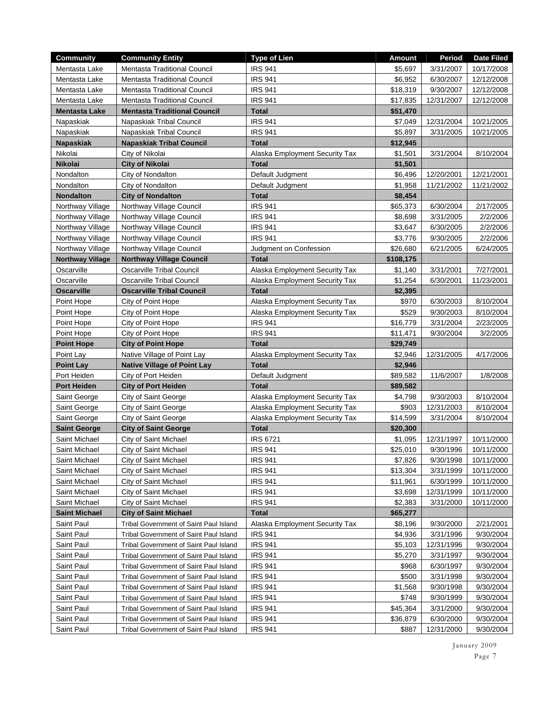| <b>Community</b>        | <b>Community Entity</b>                | <b>Type of Lien</b>            | <b>Amount</b> | Period     | <b>Date Filed</b> |
|-------------------------|----------------------------------------|--------------------------------|---------------|------------|-------------------|
| Mentasta Lake           | Mentasta Traditional Council           | <b>IRS 941</b>                 | \$5,697       | 3/31/2007  | 10/17/2008        |
| Mentasta Lake           | <b>Mentasta Traditional Council</b>    | <b>IRS 941</b>                 | \$6,952       | 6/30/2007  | 12/12/2008        |
| Mentasta Lake           | Mentasta Traditional Council           | <b>IRS 941</b>                 | \$18,319      | 9/30/2007  | 12/12/2008        |
| Mentasta Lake           | <b>Mentasta Traditional Council</b>    | <b>IRS 941</b>                 | \$17,835      | 12/31/2007 | 12/12/2008        |
| Mentasta Lake           | <b>Mentasta Traditional Council</b>    | <b>Total</b>                   | \$51,470      |            |                   |
| Napaskiak               | Napaskiak Tribal Council               | <b>IRS 941</b>                 | \$7,049       | 12/31/2004 | 10/21/2005        |
| Napaskiak               | Napaskiak Tribal Council               | <b>IRS 941</b>                 | \$5,897       | 3/31/2005  | 10/21/2005        |
| <b>Napaskiak</b>        | <b>Napaskiak Tribal Council</b>        | <b>Total</b>                   | \$12,945      |            |                   |
| Nikolai                 | City of Nikolai                        | Alaska Employment Security Tax | \$1,501       | 3/31/2004  | 8/10/2004         |
| <b>Nikolai</b>          | <b>City of Nikolai</b>                 | <b>Total</b>                   | \$1,501       |            |                   |
| Nondalton               | City of Nondalton                      | Default Judgment               | \$6,496       | 12/20/2001 | 12/21/2001        |
| Nondalton               | City of Nondalton                      | Default Judgment               | \$1,958       | 11/21/2002 | 11/21/2002        |
| <b>Nondalton</b>        | <b>City of Nondalton</b>               | <b>Total</b>                   | \$8,454       |            |                   |
| Northway Village        | Northway Village Council               | <b>IRS 941</b>                 | \$65,373      | 6/30/2004  | 2/17/2005         |
| Northway Village        | Northway Village Council               | <b>IRS 941</b>                 | \$8,698       | 3/31/2005  | 2/2/2006          |
| Northway Village        | Northway Village Council               | <b>IRS 941</b>                 | \$3,647       | 6/30/2005  | 2/2/2006          |
| Northway Village        | Northway Village Council               | <b>IRS 941</b>                 | \$3,776       | 9/30/2005  | 2/2/2006          |
| Northway Village        | Northway Village Council               | Judgment on Confession         | \$26,680      | 6/21/2005  | 6/24/2005         |
| <b>Northway Village</b> | <b>Northway Village Council</b>        | <b>Total</b>                   | \$108,175     |            |                   |
| Oscarville              | <b>Oscarville Tribal Council</b>       | Alaska Employment Security Tax | \$1,140       | 3/31/2001  | 7/27/2001         |
| Oscarville              | Oscarville Tribal Council              | Alaska Employment Security Tax | \$1,254       | 6/30/2001  | 11/23/2001        |
| <b>Oscarville</b>       | <b>Oscarville Tribal Council</b>       | <b>Total</b>                   | \$2,395       |            |                   |
| Point Hope              | City of Point Hope                     | Alaska Employment Security Tax | \$970         | 6/30/2003  | 8/10/2004         |
| Point Hope              | City of Point Hope                     | Alaska Employment Security Tax | \$529         | 9/30/2003  | 8/10/2004         |
| Point Hope              | City of Point Hope                     | <b>IRS 941</b>                 | \$16,779      | 3/31/2004  | 2/23/2005         |
| Point Hope              | City of Point Hope                     | <b>IRS 941</b>                 | \$11,471      | 9/30/2004  | 3/2/2005          |
| <b>Point Hope</b>       | <b>City of Point Hope</b>              | <b>Total</b>                   | \$29,749      |            |                   |
| Point Lay               | Native Village of Point Lay            | Alaska Employment Security Tax | \$2,946       | 12/31/2005 | 4/17/2006         |
| <b>Point Lay</b>        | <b>Native Village of Point Lay</b>     | <b>Total</b>                   | \$2,946       |            |                   |
| Port Heiden             | City of Port Heiden                    | Default Judgment               | \$89,582      | 11/6/2007  | 1/8/2008          |
| <b>Port Heiden</b>      | <b>City of Port Heiden</b>             | <b>Total</b>                   | \$89,582      |            |                   |
| Saint George            | City of Saint George                   | Alaska Employment Security Tax | \$4,798       | 9/30/2003  | 8/10/2004         |
| Saint George            | City of Saint George                   | Alaska Employment Security Tax | \$903         | 12/31/2003 | 8/10/2004         |
| Saint George            | City of Saint George                   | Alaska Employment Security Tax | \$14,599      | 3/31/2004  | 8/10/2004         |
| <b>Saint George</b>     | <b>City of Saint George</b>            | <b>Total</b>                   | \$20,300      |            |                   |
| Saint Michael           | City of Saint Michael                  | <b>IRS 6721</b>                | \$1,095       | 12/31/1997 | 10/11/2000        |
| Saint Michael           | City of Saint Michael                  | <b>IRS 941</b>                 | \$25,010      | 9/30/1996  | 10/11/2000        |
| Saint Michael           | City of Saint Michael                  | <b>IRS 941</b>                 | \$7,826       | 9/30/1998  | 10/11/2000        |
| Saint Michael           | City of Saint Michael                  | <b>IRS 941</b>                 | \$13,304      | 3/31/1999  | 10/11/2000        |
| Saint Michael           | City of Saint Michael                  | <b>IRS 941</b>                 | \$11,961      | 6/30/1999  | 10/11/2000        |
| Saint Michael           | City of Saint Michael                  | <b>IRS 941</b>                 | \$3,698       | 12/31/1999 | 10/11/2000        |
| Saint Michael           | City of Saint Michael                  | <b>IRS 941</b>                 | \$2,383       | 3/31/2000  | 10/11/2000        |
| <b>Saint Michael</b>    | <b>City of Saint Michael</b>           | <b>Total</b>                   | \$65,277      |            |                   |
| Saint Paul              | Tribal Government of Saint Paul Island | Alaska Employment Security Tax | \$8,196       | 9/30/2000  | 2/21/2001         |
| Saint Paul              | Tribal Government of Saint Paul Island | <b>IRS 941</b>                 | \$4,936       | 3/31/1996  | 9/30/2004         |
| Saint Paul              | Tribal Government of Saint Paul Island | <b>IRS 941</b>                 | \$5,103       | 12/31/1996 | 9/30/2004         |
| Saint Paul              | Tribal Government of Saint Paul Island | <b>IRS 941</b>                 | \$5,270       | 3/31/1997  | 9/30/2004         |
| Saint Paul              | Tribal Government of Saint Paul Island | <b>IRS 941</b>                 | \$968         | 6/30/1997  | 9/30/2004         |
| Saint Paul              | Tribal Government of Saint Paul Island | <b>IRS 941</b>                 | \$500         | 3/31/1998  | 9/30/2004         |
| Saint Paul              | Tribal Government of Saint Paul Island | <b>IRS 941</b>                 | \$1,568       | 9/30/1998  | 9/30/2004         |
| Saint Paul              | Tribal Government of Saint Paul Island | <b>IRS 941</b>                 | \$748         | 9/30/1999  | 9/30/2004         |
| Saint Paul              | Tribal Government of Saint Paul Island | <b>IRS 941</b>                 | \$45,364      | 3/31/2000  | 9/30/2004         |
| Saint Paul              | Tribal Government of Saint Paul Island | <b>IRS 941</b>                 | \$36,879      | 6/30/2000  | 9/30/2004         |
| Saint Paul              | Tribal Government of Saint Paul Island | <b>IRS 941</b>                 | \$887         | 12/31/2000 | 9/30/2004         |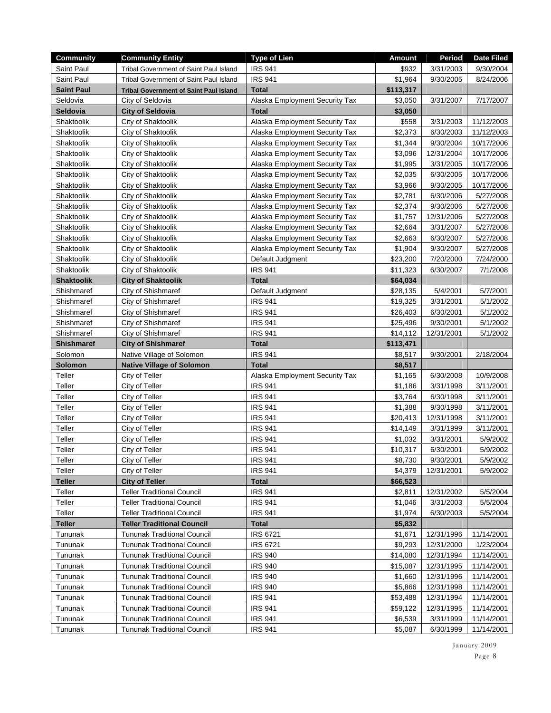| <b>Community</b>   | <b>Community Entity</b>                                                  | <b>Type of Lien</b>              | <b>Amount</b>       | Period                  | <b>Date Filed</b>        |
|--------------------|--------------------------------------------------------------------------|----------------------------------|---------------------|-------------------------|--------------------------|
| Saint Paul         | Tribal Government of Saint Paul Island                                   | <b>IRS 941</b>                   | \$932               | 3/31/2003               | 9/30/2004                |
| Saint Paul         | Tribal Government of Saint Paul Island                                   | <b>IRS 941</b>                   | \$1,964             | 9/30/2005               | 8/24/2006                |
| <b>Saint Paul</b>  | <b>Tribal Government of Saint Paul Island</b>                            | <b>Total</b>                     | \$113,317           |                         |                          |
| Seldovia           | City of Seldovia                                                         | Alaska Employment Security Tax   | \$3,050             | 3/31/2007               | 7/17/2007                |
| Seldovia           | <b>City of Seldovia</b>                                                  | <b>Total</b>                     | \$3,050             |                         |                          |
| Shaktoolik         | City of Shaktoolik                                                       | Alaska Employment Security Tax   | \$558               | 3/31/2003               | 11/12/2003               |
| Shaktoolik         | City of Shaktoolik                                                       | Alaska Employment Security Tax   | \$2,373             | 6/30/2003               | 11/12/2003               |
| Shaktoolik         | City of Shaktoolik                                                       | Alaska Employment Security Tax   | \$1,344             | 9/30/2004               | 10/17/2006               |
| Shaktoolik         | City of Shaktoolik                                                       | Alaska Employment Security Tax   | \$3,096             | 12/31/2004              | 10/17/2006               |
| Shaktoolik         | City of Shaktoolik                                                       | Alaska Employment Security Tax   | \$1,995             | 3/31/2005               | 10/17/2006               |
| Shaktoolik         | City of Shaktoolik                                                       | Alaska Employment Security Tax   | \$2,035             | 6/30/2005               | 10/17/2006               |
| Shaktoolik         | City of Shaktoolik                                                       | Alaska Employment Security Tax   | \$3,966             | 9/30/2005               | 10/17/2006               |
| Shaktoolik         | City of Shaktoolik                                                       | Alaska Employment Security Tax   | \$2,781             | 6/30/2006               | 5/27/2008                |
| Shaktoolik         | City of Shaktoolik                                                       | Alaska Employment Security Tax   | \$2,374             | 9/30/2006               | 5/27/2008                |
| Shaktoolik         | City of Shaktoolik                                                       | Alaska Employment Security Tax   | \$1,757             | 12/31/2006              | 5/27/2008                |
| Shaktoolik         | City of Shaktoolik                                                       | Alaska Employment Security Tax   | \$2,664             | 3/31/2007               | 5/27/2008                |
| Shaktoolik         | City of Shaktoolik                                                       | Alaska Employment Security Tax   | \$2,663             | 6/30/2007               | 5/27/2008                |
| Shaktoolik         | City of Shaktoolik                                                       | Alaska Employment Security Tax   | \$1,904             | 9/30/2007               | 5/27/2008                |
| Shaktoolik         | City of Shaktoolik                                                       | Default Judgment                 | \$23,200            | 7/20/2000               | 7/24/2000                |
| Shaktoolik         | City of Shaktoolik                                                       | <b>IRS 941</b>                   | \$11,323            | 6/30/2007               | 7/1/2008                 |
| <b>Shaktoolik</b>  | <b>City of Shaktoolik</b>                                                | <b>Total</b>                     | \$64,034            |                         |                          |
| Shishmaref         | City of Shishmaref                                                       | Default Judgment                 | \$28,135            | 5/4/2001                | 5/7/2001                 |
| Shishmaref         | City of Shishmaref                                                       | <b>IRS 941</b>                   | \$19,325            | 3/31/2001               | 5/1/2002                 |
| Shishmaref         | City of Shishmaref                                                       | <b>IRS 941</b>                   | \$26,403            | 6/30/2001               | 5/1/2002                 |
| Shishmaref         | City of Shishmaref                                                       | <b>IRS 941</b>                   | \$25,496            | 9/30/2001               | 5/1/2002                 |
| Shishmaref         | City of Shishmaref                                                       | <b>IRS 941</b>                   | \$14,112            | 12/31/2001              | 5/1/2002                 |
| <b>Shishmaref</b>  | <b>City of Shishmaref</b>                                                | <b>Total</b>                     | \$113,471           |                         |                          |
| Solomon            | Native Village of Solomon                                                | <b>IRS 941</b>                   | \$8,517             | 9/30/2001               | 2/18/2004                |
| Solomon            | <b>Native Village of Solomon</b>                                         | <b>Total</b>                     | \$8,517             |                         |                          |
| Teller             | City of Teller                                                           | Alaska Employment Security Tax   | \$1,165             | 6/30/2008               | 10/9/2008                |
| Teller             | City of Teller                                                           | <b>IRS 941</b>                   | \$1,186             | 3/31/1998               | 3/11/2001                |
| Teller             | City of Teller                                                           | <b>IRS 941</b>                   | \$3,764             | 6/30/1998               | 3/11/2001                |
| Teller             | City of Teller                                                           | <b>IRS 941</b>                   |                     |                         |                          |
| Teller             |                                                                          |                                  | \$1,388             | 9/30/1998               | 3/11/2001                |
|                    | City of Teller                                                           | <b>IRS 941</b>                   | \$20,413            | 12/31/1998              | 3/11/2001                |
| Teller             | City of Teller                                                           | <b>IRS 941</b>                   | \$14,149            | 3/31/1999               | 3/11/2001                |
| Teller             | City of Teller                                                           | <b>IRS 941</b>                   | \$1,032             | 3/31/2001               | 5/9/2002                 |
| Teller             | City of Teller                                                           | <b>IRS 941</b>                   | \$10,317            | 6/30/2001               | 5/9/2002                 |
| Teller             | City of Teller                                                           | <b>IRS 941</b>                   | \$8,730             | 9/30/2001               | 5/9/2002                 |
| Teller             | City of Teller                                                           | <b>IRS 941</b>                   | \$4,379             | 12/31/2001              | 5/9/2002                 |
| <b>Teller</b>      | <b>City of Teller</b>                                                    | <b>Total</b>                     | \$66,523            |                         |                          |
| Teller             | <b>Teller Traditional Council</b>                                        | <b>IRS 941</b>                   | \$2,811             | 12/31/2002              | 5/5/2004                 |
| Teller             | <b>Teller Traditional Council</b>                                        | <b>IRS 941</b>                   | \$1,046             | 3/31/2003               | 5/5/2004                 |
| Teller             | <b>Teller Traditional Council</b>                                        | <b>IRS 941</b>                   | \$1,974             | 6/30/2003               | 5/5/2004                 |
| <b>Teller</b>      | <b>Teller Traditional Council</b>                                        | <b>Total</b>                     | \$5,832             |                         |                          |
| Tununak            | <b>Tununak Traditional Council</b>                                       | <b>IRS 6721</b>                  | \$1,671             | 12/31/1996              | 11/14/2001               |
| Tununak            | <b>Tununak Traditional Council</b>                                       | <b>IRS 6721</b>                  | \$9,293             | 12/31/2000              | 1/23/2004                |
| Tununak            | <b>Tununak Traditional Council</b>                                       | <b>IRS 940</b>                   | \$14,080            | 12/31/1994              | 11/14/2001               |
| Tununak            | <b>Tununak Traditional Council</b>                                       | <b>IRS 940</b>                   | \$15,087            | 12/31/1995              | 11/14/2001               |
| Tununak            | <b>Tununak Traditional Council</b>                                       | <b>IRS 940</b>                   | \$1,660             | 12/31/1996              | 11/14/2001               |
| Tununak            | <b>Tununak Traditional Council</b>                                       | <b>IRS 940</b>                   | \$5,866             | 12/31/1998              | 11/14/2001               |
| Tununak            | <b>Tununak Traditional Council</b>                                       | <b>IRS 941</b>                   | \$53,488            | 12/31/1994              | 11/14/2001               |
| Tununak<br>Tununak | <b>Tununak Traditional Council</b><br><b>Tununak Traditional Council</b> | <b>IRS 941</b><br><b>IRS 941</b> | \$59,122<br>\$6,539 | 12/31/1995<br>3/31/1999 | 11/14/2001<br>11/14/2001 |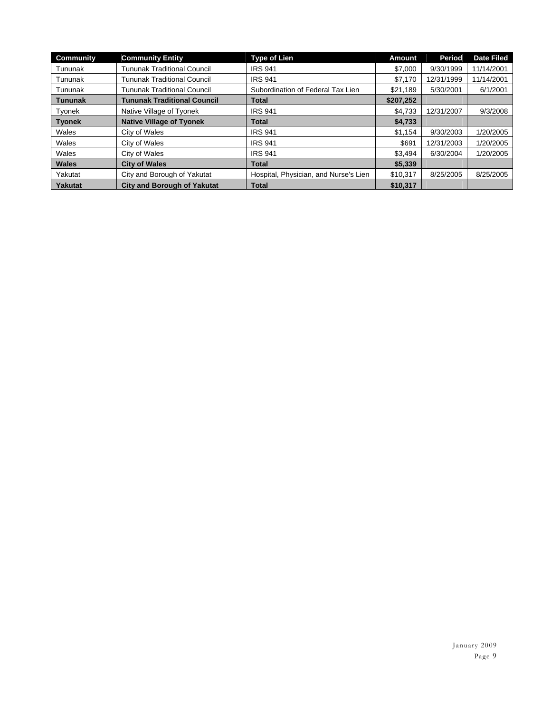| <b>Community</b> | <b>Community Entity</b>            | <b>Type of Lien</b>                   | <b>Amount</b> | <b>Period</b> | <b>Date Filed</b> |
|------------------|------------------------------------|---------------------------------------|---------------|---------------|-------------------|
| Tununak          | <b>Tununak Traditional Council</b> | <b>IRS 941</b>                        | \$7,000       | 9/30/1999     | 11/14/2001        |
| Tununak          | <b>Tununak Traditional Council</b> | <b>IRS 941</b>                        | \$7,170       | 12/31/1999    | 11/14/2001        |
| Tununak          | <b>Tununak Traditional Council</b> | Subordination of Federal Tax Lien     | \$21.189      | 5/30/2001     | 6/1/2001          |
| <b>Tununak</b>   | <b>Tununak Traditional Council</b> | Total                                 | \$207,252     |               |                   |
| Tyonek           | Native Village of Tyonek           | <b>IRS 941</b>                        | \$4.733       | 12/31/2007    | 9/3/2008          |
| <b>Tvonek</b>    | <b>Native Village of Tyonek</b>    | Total                                 | \$4,733       |               |                   |
| Wales            | City of Wales                      | <b>IRS 941</b>                        | \$1.154       | 9/30/2003     | 1/20/2005         |
| Wales            | City of Wales                      | <b>IRS 941</b>                        | \$691         | 12/31/2003    | 1/20/2005         |
| Wales            | City of Wales                      | <b>IRS 941</b>                        | \$3,494       | 6/30/2004     | 1/20/2005         |
| <b>Wales</b>     | <b>City of Wales</b>               | <b>Total</b>                          | \$5,339       |               |                   |
| Yakutat          | City and Borough of Yakutat        | Hospital, Physician, and Nurse's Lien | \$10,317      | 8/25/2005     | 8/25/2005         |
| <b>Yakutat</b>   | <b>City and Borough of Yakutat</b> | <b>Total</b>                          | \$10,317      |               |                   |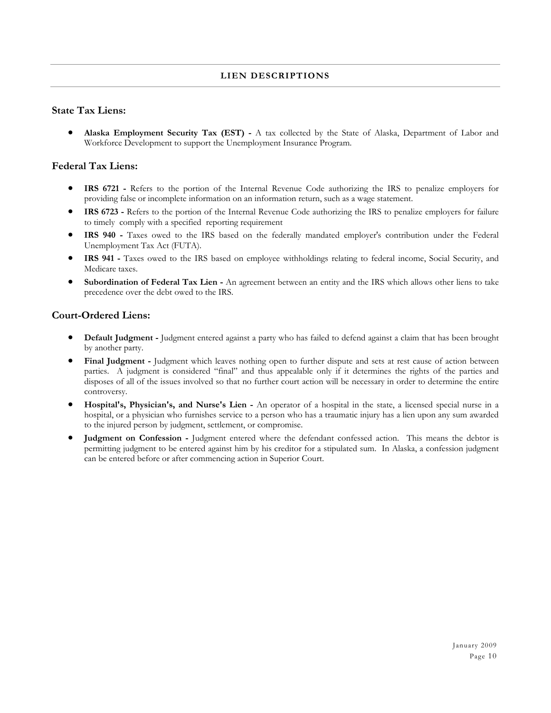#### **LIEN DESCRIPTIONS**

#### **State Tax Liens:**

 **Alaska Employment Security Tax (EST) -** A tax collected by the State of Alaska, Department of Labor and Workforce Development to support the Unemployment Insurance Program.

#### **Federal Tax Liens:**

- **IRS 6721** Refers to the portion of the Internal Revenue Code authorizing the IRS to penalize employers for providing false or incomplete information on an information return, such as a wage statement.
- **IRS 6723 -** Refers to the portion of the Internal Revenue Code authorizing the IRS to penalize employers for failure to timely comply with a specified reporting requirement
- **IRS 940 -** Taxes owed to the IRS based on the federally mandated employer's contribution under the Federal Unemployment Tax Act (FUTA).
- **IRS 941 -** Taxes owed to the IRS based on employee withholdings relating to federal income, Social Security, and Medicare taxes.
- **Subordination of Federal Tax Lien** An agreement between an entity and the IRS which allows other liens to take precedence over the debt owed to the IRS.

#### **Court-Ordered Liens:**

- **Default Judgment** Judgment entered against a party who has failed to defend against a claim that has been brought by another party.
- **Final Judgment** Judgment which leaves nothing open to further dispute and sets at rest cause of action between parties. A judgment is considered "final" and thus appealable only if it determines the rights of the parties and disposes of all of the issues involved so that no further court action will be necessary in order to determine the entire controversy.
- **Hospital's, Physician's, and Nurse's Lien** An operator of a hospital in the state, a licensed special nurse in a hospital, or a physician who furnishes service to a person who has a traumatic injury has a lien upon any sum awarded to the injured person by judgment, settlement, or compromise.
- **Judgment on Confession** Judgment entered where the defendant confessed action. This means the debtor is permitting judgment to be entered against him by his creditor for a stipulated sum. In Alaska, a confession judgment can be entered before or after commencing action in Superior Court.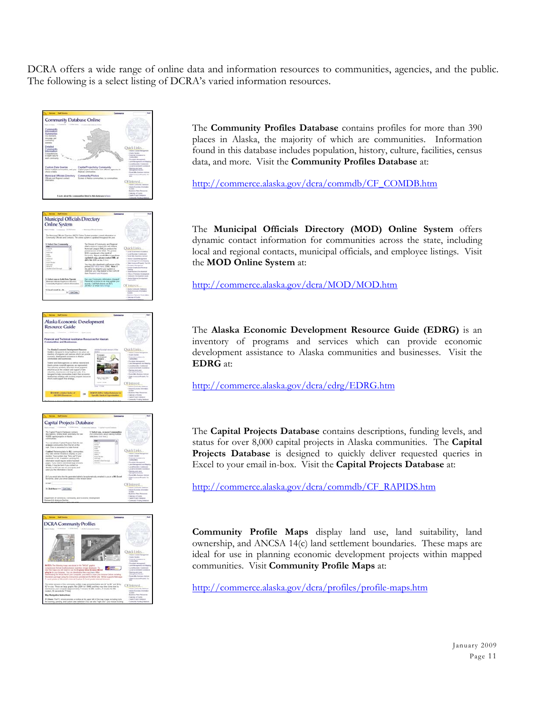DCRA offers a wide range of online data and information resources to communities, agencies, and the public. The following is a select listing of DCRA's varied information resources.







| <b>Car Dal Destro</b>                                                                                                                                                                                                                                                                                                                                                                                                                                                                                                                                                                                           | Commerce                                                                                                                                           | <b>South 1</b>                                                                                                                                                                                                                                                                                                                                                                      |
|-----------------------------------------------------------------------------------------------------------------------------------------------------------------------------------------------------------------------------------------------------------------------------------------------------------------------------------------------------------------------------------------------------------------------------------------------------------------------------------------------------------------------------------------------------------------------------------------------------------------|----------------------------------------------------------------------------------------------------------------------------------------------------|-------------------------------------------------------------------------------------------------------------------------------------------------------------------------------------------------------------------------------------------------------------------------------------------------------------------------------------------------------------------------------------|
| <b>Capital Projects Database</b><br>1. Ad fed throne<br>tion of home. I I formers a                                                                                                                                                                                                                                                                                                                                                                                                                                                                                                                             | a linework futures. A finish home funnish-                                                                                                         |                                                                                                                                                                                                                                                                                                                                                                                     |
| The Capital Projects Database striburni<br>descriptions, furning levels and status for case<br>10.200 Lagital projects in Alanka<br><b>LESSAGER</b>                                                                                                                                                                                                                                                                                                                                                                                                                                                             | It Salarit uwa, or more Communities<br>For instructions about making multiple<br>astachate club have 1                                             |                                                                                                                                                                                                                                                                                                                                                                                     |
| Two can retirere Capital Projects Data for one<br>or move communities finis the GM on the<br>right. Data is precented in a take format.                                                                                                                                                                                                                                                                                                                                                                                                                                                                         | <b><i><u>Amount</u></i></b><br><b>STORE</b><br><b>Associate</b><br><b>SCHOOL</b>                                                                   |                                                                                                                                                                                                                                                                                                                                                                                     |
| Cambrel Fatrooms tots by ALL communities<br>man bake several minutes to display on your<br>monitor. Your system may "live sol" if your<br>bandwells is low in addition product Nov.<br>Industrial terms and the blurst handlest<br>pages. Fyric need to directivel large amounts.<br>of data, it may be bent if you contact us.<br>dear for the first way tops war inter money and<br>need you the information in aucui-<br>2: F you would also the the generated take to be automatically emained in your a 1974 Excel-<br>the formula antius your around additions to this settleties before. The contract of | <b>SALES</b><br><b>SHANNA</b><br><b>SHELF</b><br>his age 20th days<br><b><i><u>SAFER HOLD</u></i></b><br><b>Associate East Business</b><br>120,000 | <b>Ouick Links</b><br>1. Associated Council of the council<br>a death factor<br>1 Personne Australian Inc.<br>Consumer<br>1 Plymboan Management<br>Characterization and the court<br>11.000 Boarders Generation<br>11.000 Streetwood Association<br>1 Planning and Land<br>Management Declines<br>1 Marti 1986, Business Address<br>1 Total Assessment Property Tax<br><b>SHOW:</b> |
| <b>A-Point</b>                                                                                                                                                                                                                                                                                                                                                                                                                                                                                                                                                                                                  |                                                                                                                                                    | Of Interest                                                                                                                                                                                                                                                                                                                                                                         |
| It Click Hoop non- Light Date.<br>Department of Convenance, Convenanty, and Economic Development<br>Research & Anglysis Tachine                                                                                                                                                                                                                                                                                                                                                                                                                                                                                 |                                                                                                                                                    | 1 Andre Grenssels Treisburg<br>1. Alexton Esiminated, Arizonalista<br>Services.<br>- Roman Fara Resources<br>1 Canvie of Frence<br>1 Casterboard Internet<br>1 Connecto Futura Determina                                                                                                                                                                                            |



The **Community Profiles Database** contains profiles for more than 390 places in Alaska, the majority of which are communities. Information found in this database includes population, history, culture, facilities, census data, and more. Visit the **Community Profiles Database** at:

http://commerce.alaska.gov/dcra/commdb/CF\_COMDB.htm

The **Municipal Officials Directory (MOD) Online System** offers dynamic contact information for communities across the state, including local and regional contacts, municipal officials, and employee listings. Visit the **MOD Online System** at:

http://commerce.alaska.gov/dcra/MOD/MOD.htm

The **Alaska Economic Development Resource Guide (EDRG)** is an inventory of programs and services which can provide economic development assistance to Alaska communities and businesses. Visit the **EDRG** at:

http://commerce.alaska.gov/dcra/edrg/EDRG.htm

The **Capital Projects Database** contains descriptions, funding levels, and status for over 8,000 capital projects in Alaska communities. The **Capital Projects Database** is designed to quickly deliver requested queries in Excel to your email in-box. Visit the **Capital Projects Database** at:

http://commerce.alaska.gov/dcra/commdb/CF\_RAPIDS.htm

**Community Profile Maps** display land use, land suitability, land ownership, and ANCSA 14(c) land settlement boundaries. These maps are ideal for use in planning economic development projects within mapped communities. Visit **Community Profile Maps** at:

http://commerce.alaska.gov/dcra/profiles/profile-maps.htm